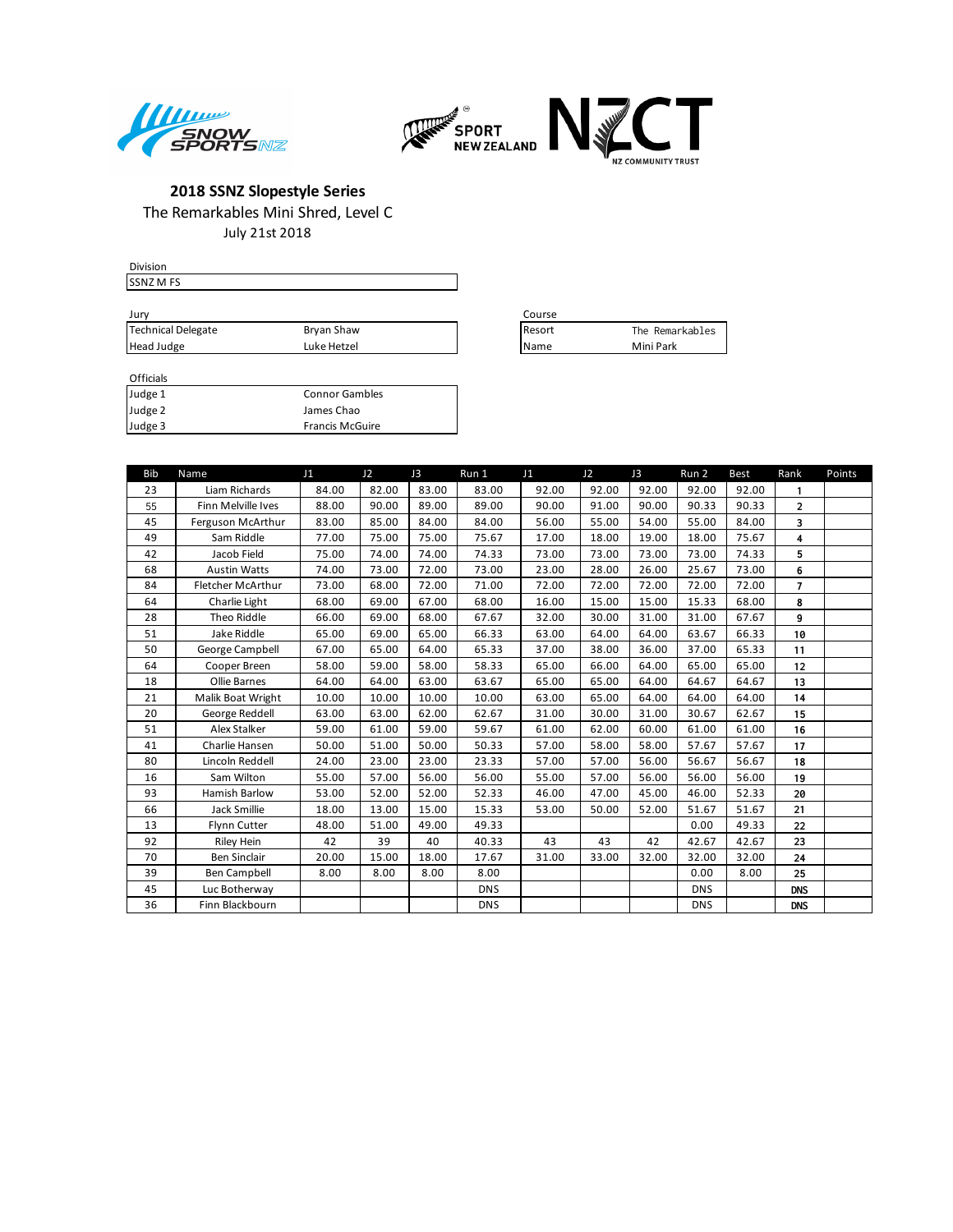



July 21st 2018

| <b>Division</b>    |             |               |                 |
|--------------------|-------------|---------------|-----------------|
| <b>SSNZ M FS</b>   |             |               |                 |
|                    |             |               |                 |
| Jury               |             | Course        |                 |
| Technical Delegate | Bryan Shaw  | <b>Resort</b> | The Remarkables |
| Head Judge         | Luke Hetzel | <b>I</b> Name | Mini Park       |
|                    |             |               |                 |

| Course |                 |
|--------|-----------------|
| Resort | The Remarkables |
| Name   | Mini Park       |

| Judge 1 | <b>Connor Gambles</b>  |
|---------|------------------------|
| Judge 2 | James Chao             |
| Judge 3 | <b>Francis McGuire</b> |

| <b>Bib</b> | Name                | J1    | J2    | J3    | Run 1      | J1    | J2    | J3    | Run 2      | <b>Best</b> | Rank           | Points |
|------------|---------------------|-------|-------|-------|------------|-------|-------|-------|------------|-------------|----------------|--------|
| 23         | Liam Richards       | 84.00 | 82.00 | 83.00 | 83.00      | 92.00 | 92.00 | 92.00 | 92.00      | 92.00       | 1              |        |
| 55         | Finn Melville Ives  | 88.00 | 90.00 | 89.00 | 89.00      | 90.00 | 91.00 | 90.00 | 90.33      | 90.33       | $\overline{2}$ |        |
| 45         | Ferguson McArthur   | 83.00 | 85.00 | 84.00 | 84.00      | 56.00 | 55.00 | 54.00 | 55.00      | 84.00       | 3              |        |
| 49         | Sam Riddle          | 77.00 | 75.00 | 75.00 | 75.67      | 17.00 | 18.00 | 19.00 | 18.00      | 75.67       | 4              |        |
| 42         | Jacob Field         | 75.00 | 74.00 | 74.00 | 74.33      | 73.00 | 73.00 | 73.00 | 73.00      | 74.33       | 5              |        |
| 68         | <b>Austin Watts</b> | 74.00 | 73.00 | 72.00 | 73.00      | 23.00 | 28.00 | 26.00 | 25.67      | 73.00       | 6              |        |
| 84         | Fletcher McArthur   | 73.00 | 68.00 | 72.00 | 71.00      | 72.00 | 72.00 | 72.00 | 72.00      | 72.00       | $\overline{7}$ |        |
| 64         | Charlie Light       | 68.00 | 69.00 | 67.00 | 68.00      | 16.00 | 15.00 | 15.00 | 15.33      | 68.00       | 8              |        |
| 28         | Theo Riddle         | 66.00 | 69.00 | 68.00 | 67.67      | 32.00 | 30.00 | 31.00 | 31.00      | 67.67       | 9              |        |
| 51         | Jake Riddle         | 65.00 | 69.00 | 65.00 | 66.33      | 63.00 | 64.00 | 64.00 | 63.67      | 66.33       | 10             |        |
| 50         | George Campbell     | 67.00 | 65.00 | 64.00 | 65.33      | 37.00 | 38.00 | 36.00 | 37.00      | 65.33       | 11             |        |
| 64         | Cooper Breen        | 58.00 | 59.00 | 58.00 | 58.33      | 65.00 | 66.00 | 64.00 | 65.00      | 65.00       | 12             |        |
| 18         | Ollie Barnes        | 64.00 | 64.00 | 63.00 | 63.67      | 65.00 | 65.00 | 64.00 | 64.67      | 64.67       | 13             |        |
| 21         | Malik Boat Wright   | 10.00 | 10.00 | 10.00 | 10.00      | 63.00 | 65.00 | 64.00 | 64.00      | 64.00       | 14             |        |
| 20         | George Reddell      | 63.00 | 63.00 | 62.00 | 62.67      | 31.00 | 30.00 | 31.00 | 30.67      | 62.67       | 15             |        |
| 51         | Alex Stalker        | 59.00 | 61.00 | 59.00 | 59.67      | 61.00 | 62.00 | 60.00 | 61.00      | 61.00       | 16             |        |
| 41         | Charlie Hansen      | 50.00 | 51.00 | 50.00 | 50.33      | 57.00 | 58.00 | 58.00 | 57.67      | 57.67       | 17             |        |
| 80         | Lincoln Reddell     | 24.00 | 23.00 | 23.00 | 23.33      | 57.00 | 57.00 | 56.00 | 56.67      | 56.67       | 18             |        |
| 16         | Sam Wilton          | 55.00 | 57.00 | 56.00 | 56.00      | 55.00 | 57.00 | 56.00 | 56.00      | 56.00       | 19             |        |
| 93         | Hamish Barlow       | 53.00 | 52.00 | 52.00 | 52.33      | 46.00 | 47.00 | 45.00 | 46.00      | 52.33       | 20             |        |
| 66         | <b>Jack Smillie</b> | 18.00 | 13.00 | 15.00 | 15.33      | 53.00 | 50.00 | 52.00 | 51.67      | 51.67       | 21             |        |
| 13         | Flynn Cutter        | 48.00 | 51.00 | 49.00 | 49.33      |       |       |       | 0.00       | 49.33       | 22             |        |
| 92         | <b>Riley Hein</b>   | 42    | 39    | 40    | 40.33      | 43    | 43    | 42    | 42.67      | 42.67       | 23             |        |
| 70         | <b>Ben Sinclair</b> | 20.00 | 15.00 | 18.00 | 17.67      | 31.00 | 33.00 | 32.00 | 32.00      | 32.00       | 24             |        |
| 39         | Ben Campbell        | 8.00  | 8.00  | 8.00  | 8.00       |       |       |       | 0.00       | 8.00        | 25             |        |
| 45         | Luc Botherway       |       |       |       | <b>DNS</b> |       |       |       | <b>DNS</b> |             | <b>DNS</b>     |        |
| 36         | Finn Blackbourn     |       |       |       | <b>DNS</b> |       |       |       | <b>DNS</b> |             | <b>DNS</b>     |        |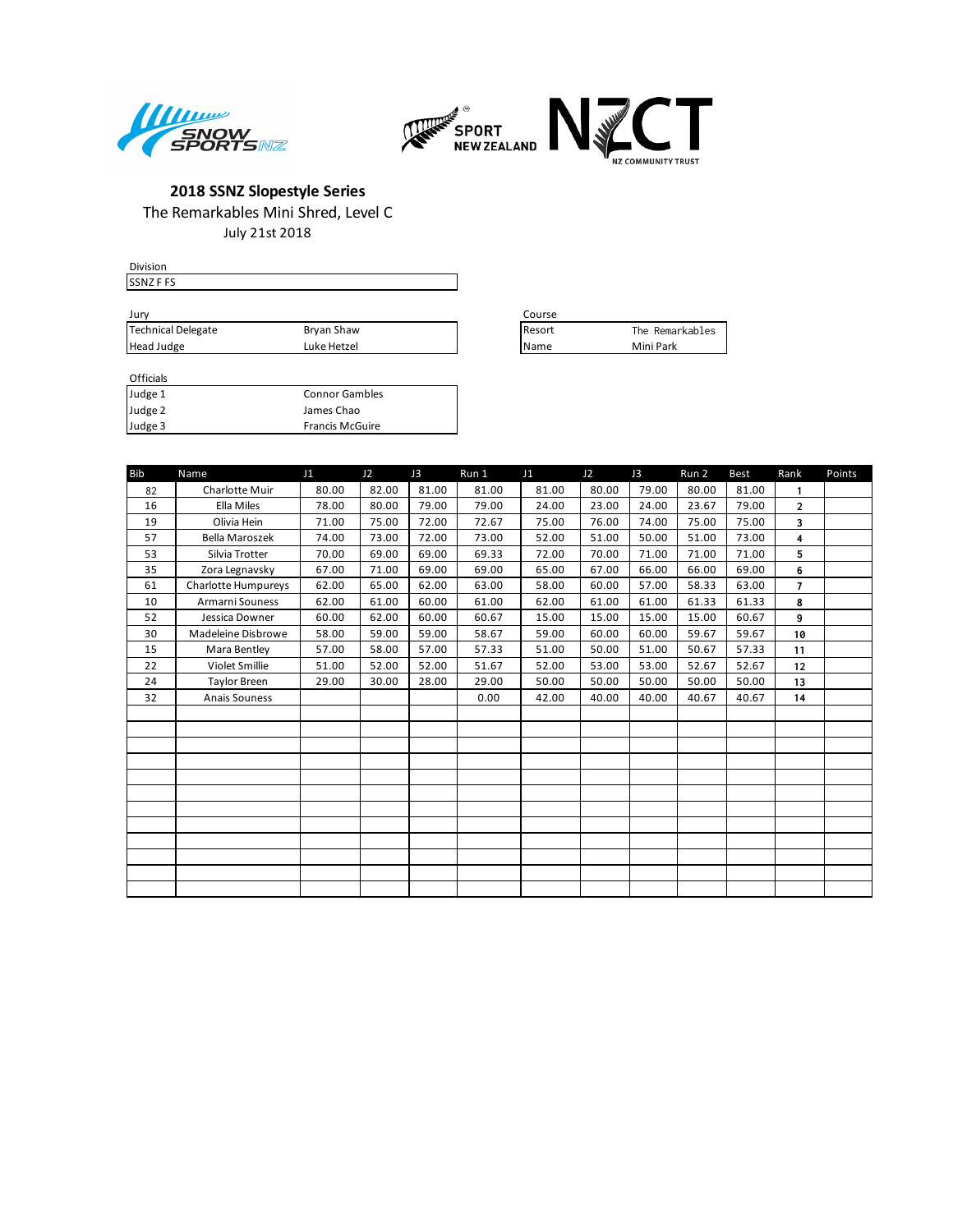



July 21st 2018

| <b>Division</b>    |             |                 |                 |
|--------------------|-------------|-----------------|-----------------|
| <b>SSNZFFS</b>     |             |                 |                 |
|                    |             |                 |                 |
| Jurv               |             | Course          |                 |
| Technical Delegate | Bryan Shaw  | <b>I</b> Resort | The Remarkables |
| Head Judge         | Luke Hetzel | <b>IName</b>    | Mini Park       |

| Course |                 |
|--------|-----------------|
| Resort | The Remarkables |
| Name   | Mini Park       |

| ------- |                        |
|---------|------------------------|
| Judge 1 | <b>Connor Gambles</b>  |
| Judge 2 | James Chao             |
| Judge 3 | <b>Francis McGuire</b> |

| <b>Bib</b> | Name                  | J1    | J2    | J3    | Run 1 | J1    | J2    | J3    | Run 2 | <b>Best</b> | Rank           | Points |
|------------|-----------------------|-------|-------|-------|-------|-------|-------|-------|-------|-------------|----------------|--------|
| 82         | <b>Charlotte Muir</b> | 80.00 | 82.00 | 81.00 | 81.00 | 81.00 | 80.00 | 79.00 | 80.00 | 81.00       | $\mathbf{1}$   |        |
| 16         | Ella Miles            | 78.00 | 80.00 | 79.00 | 79.00 | 24.00 | 23.00 | 24.00 | 23.67 | 79.00       | $\overline{2}$ |        |
| 19         | Olivia Hein           | 71.00 | 75.00 | 72.00 | 72.67 | 75.00 | 76.00 | 74.00 | 75.00 | 75.00       | 3              |        |
| 57         | <b>Bella Maroszek</b> | 74.00 | 73.00 | 72.00 | 73.00 | 52.00 | 51.00 | 50.00 | 51.00 | 73.00       | 4              |        |
| 53         | Silvia Trotter        | 70.00 | 69.00 | 69.00 | 69.33 | 72.00 | 70.00 | 71.00 | 71.00 | 71.00       | 5              |        |
| 35         | Zora Legnavsky        | 67.00 | 71.00 | 69.00 | 69.00 | 65.00 | 67.00 | 66.00 | 66.00 | 69.00       | 6              |        |
| 61         | Charlotte Humpureys   | 62.00 | 65.00 | 62.00 | 63.00 | 58.00 | 60.00 | 57.00 | 58.33 | 63.00       | $\overline{7}$ |        |
| 10         | Armarni Souness       | 62.00 | 61.00 | 60.00 | 61.00 | 62.00 | 61.00 | 61.00 | 61.33 | 61.33       | 8              |        |
| 52         | Jessica Downer        | 60.00 | 62.00 | 60.00 | 60.67 | 15.00 | 15.00 | 15.00 | 15.00 | 60.67       | 9              |        |
| 30         | Madeleine Disbrowe    | 58.00 | 59.00 | 59.00 | 58.67 | 59.00 | 60.00 | 60.00 | 59.67 | 59.67       | 10             |        |
| 15         | Mara Bentley          | 57.00 | 58.00 | 57.00 | 57.33 | 51.00 | 50.00 | 51.00 | 50.67 | 57.33       | 11             |        |
| 22         | Violet Smillie        | 51.00 | 52.00 | 52.00 | 51.67 | 52.00 | 53.00 | 53.00 | 52.67 | 52.67       | 12             |        |
| 24         | Taylor Breen          | 29.00 | 30.00 | 28.00 | 29.00 | 50.00 | 50.00 | 50.00 | 50.00 | 50.00       | 13             |        |
| 32         | Anais Souness         |       |       |       | 0.00  | 42.00 | 40.00 | 40.00 | 40.67 | 40.67       | 14             |        |
|            |                       |       |       |       |       |       |       |       |       |             |                |        |
|            |                       |       |       |       |       |       |       |       |       |             |                |        |
|            |                       |       |       |       |       |       |       |       |       |             |                |        |
|            |                       |       |       |       |       |       |       |       |       |             |                |        |
|            |                       |       |       |       |       |       |       |       |       |             |                |        |
|            |                       |       |       |       |       |       |       |       |       |             |                |        |
|            |                       |       |       |       |       |       |       |       |       |             |                |        |
|            |                       |       |       |       |       |       |       |       |       |             |                |        |
|            |                       |       |       |       |       |       |       |       |       |             |                |        |
|            |                       |       |       |       |       |       |       |       |       |             |                |        |
|            |                       |       |       |       |       |       |       |       |       |             |                |        |
|            |                       |       |       |       |       |       |       |       |       |             |                |        |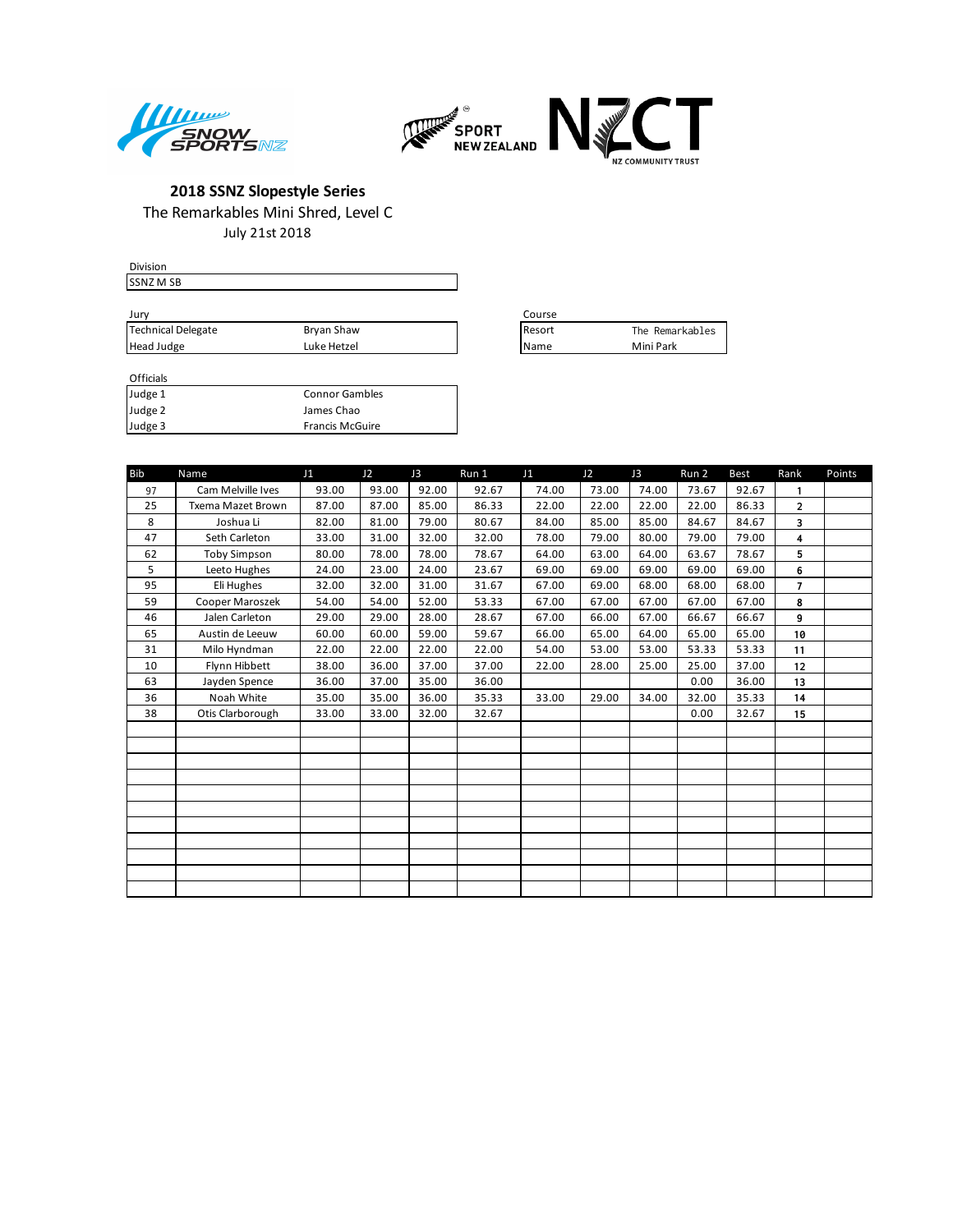



July 21st 2018

| <b>Division</b>    |             |                 |                 |
|--------------------|-------------|-----------------|-----------------|
| <b>SSNZ M SB</b>   |             |                 |                 |
|                    |             |                 |                 |
| Jury               |             | Course          |                 |
| Technical Delegate | Bryan Shaw  | <b>I</b> Resort | The Remarkables |
| Head Judge         | Luke Hetzel | <b>I</b> Name   | Mini Park       |
|                    |             |                 |                 |

| Course |                 |
|--------|-----------------|
| Resort | The Remarkables |
| Name   | Mini Park       |

| <b>Bib</b> | Name                | J1    | J2    | J3    | Run 1 | J1    | J2    | J3    | Run 2 | <b>Best</b> | Rank           | Points |
|------------|---------------------|-------|-------|-------|-------|-------|-------|-------|-------|-------------|----------------|--------|
| 97         | Cam Melville Ives   | 93.00 | 93.00 | 92.00 | 92.67 | 74.00 | 73.00 | 74.00 | 73.67 | 92.67       | 1              |        |
| 25         | Txema Mazet Brown   | 87.00 | 87.00 | 85.00 | 86.33 | 22.00 | 22.00 | 22.00 | 22.00 | 86.33       | $\overline{2}$ |        |
| 8          | Joshua Li           | 82.00 | 81.00 | 79.00 | 80.67 | 84.00 | 85.00 | 85.00 | 84.67 | 84.67       | 3              |        |
| 47         | Seth Carleton       | 33.00 | 31.00 | 32.00 | 32.00 | 78.00 | 79.00 | 80.00 | 79.00 | 79.00       | 4              |        |
| 62         | <b>Toby Simpson</b> | 80.00 | 78.00 | 78.00 | 78.67 | 64.00 | 63.00 | 64.00 | 63.67 | 78.67       | 5              |        |
| 5          | Leeto Hughes        | 24.00 | 23.00 | 24.00 | 23.67 | 69.00 | 69.00 | 69.00 | 69.00 | 69.00       | 6              |        |
| 95         | Eli Hughes          | 32.00 | 32.00 | 31.00 | 31.67 | 67.00 | 69.00 | 68.00 | 68.00 | 68.00       | $\overline{7}$ |        |
| 59         | Cooper Maroszek     | 54.00 | 54.00 | 52.00 | 53.33 | 67.00 | 67.00 | 67.00 | 67.00 | 67.00       | 8              |        |
| 46         | Jalen Carleton      | 29.00 | 29.00 | 28.00 | 28.67 | 67.00 | 66.00 | 67.00 | 66.67 | 66.67       | 9              |        |
| 65         | Austin de Leeuw     | 60.00 | 60.00 | 59.00 | 59.67 | 66.00 | 65.00 | 64.00 | 65.00 | 65.00       | 10             |        |
| 31         | Milo Hyndman        | 22.00 | 22.00 | 22.00 | 22.00 | 54.00 | 53.00 | 53.00 | 53.33 | 53.33       | 11             |        |
| 10         | Flynn Hibbett       | 38.00 | 36.00 | 37.00 | 37.00 | 22.00 | 28.00 | 25.00 | 25.00 | 37.00       | 12             |        |
| 63         | Jayden Spence       | 36.00 | 37.00 | 35.00 | 36.00 |       |       |       | 0.00  | 36.00       | 13             |        |
| 36         | Noah White          | 35.00 | 35.00 | 36.00 | 35.33 | 33.00 | 29.00 | 34.00 | 32.00 | 35.33       | 14             |        |
| 38         | Otis Clarborough    | 33.00 | 33.00 | 32.00 | 32.67 |       |       |       | 0.00  | 32.67       | 15             |        |
|            |                     |       |       |       |       |       |       |       |       |             |                |        |
|            |                     |       |       |       |       |       |       |       |       |             |                |        |
|            |                     |       |       |       |       |       |       |       |       |             |                |        |
|            |                     |       |       |       |       |       |       |       |       |             |                |        |
|            |                     |       |       |       |       |       |       |       |       |             |                |        |
|            |                     |       |       |       |       |       |       |       |       |             |                |        |
|            |                     |       |       |       |       |       |       |       |       |             |                |        |
|            |                     |       |       |       |       |       |       |       |       |             |                |        |
|            |                     |       |       |       |       |       |       |       |       |             |                |        |
|            |                     |       |       |       |       |       |       |       |       |             |                |        |
|            |                     |       |       |       |       |       |       |       |       |             |                |        |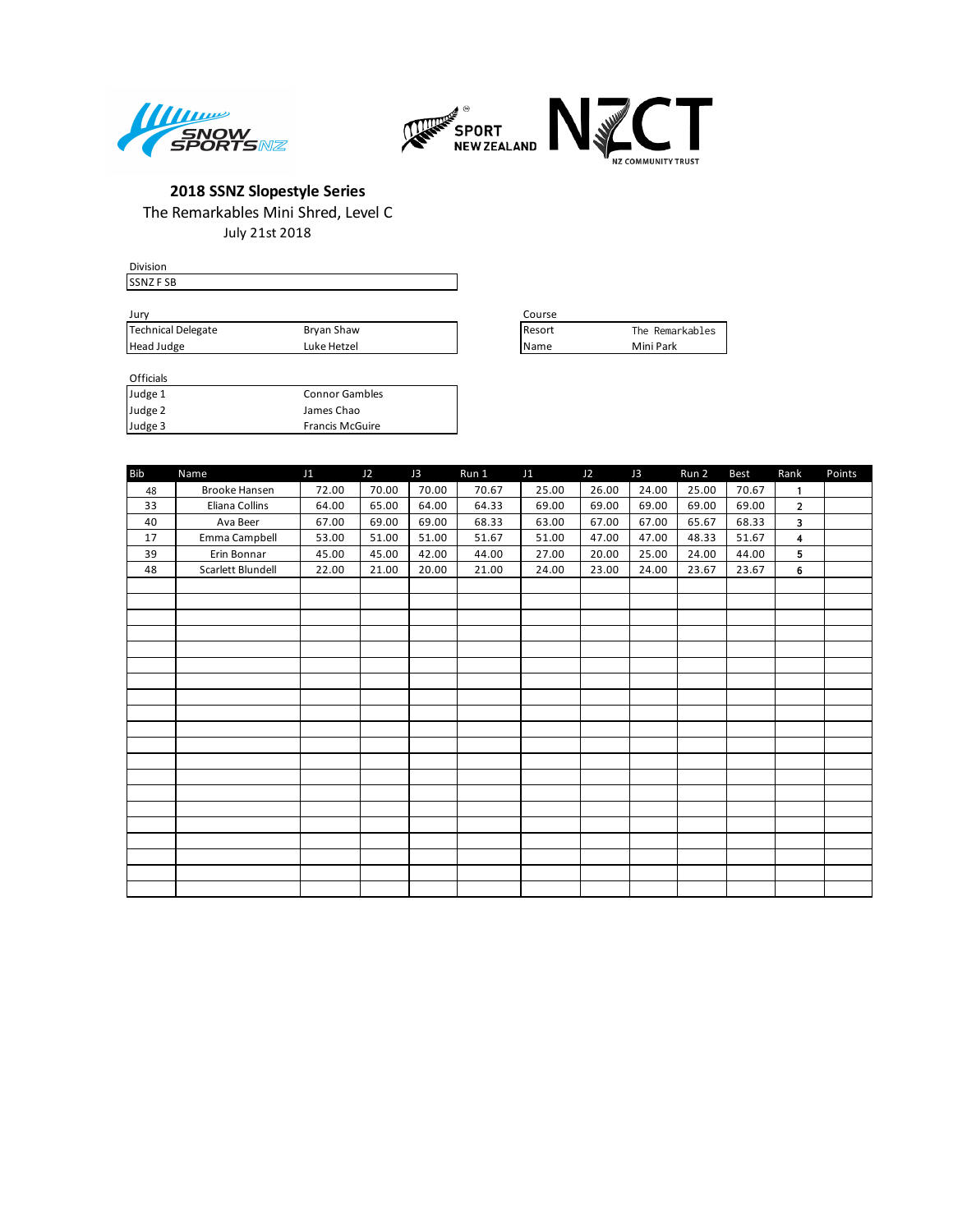



July 21st 2018

| <b>Division</b>    |             |                 |                 |
|--------------------|-------------|-----------------|-----------------|
| SSNZ F SB          |             |                 |                 |
|                    |             |                 |                 |
| Jury               |             | Course          |                 |
| Technical Delegate | Bryan Shaw  | <b>I</b> Resort | The Remarkables |
| Head Judge         | Luke Hetzel | l Name          | Mini Park       |

| Course       |                 |
|--------------|-----------------|
| Resort       | The Remarkables |
| <b>IName</b> | Mini Park       |

| ------- |                        |
|---------|------------------------|
| Judge 1 | <b>Connor Gambles</b>  |
| Judge 2 | James Chao             |
| Judge 3 | <b>Francis McGuire</b> |

| <b>Bib</b> | Name                 | J1    | J2    | J3    | Run 1 | J1    | J2    | J3    | Run 2 | Best  | Rank           | Points |
|------------|----------------------|-------|-------|-------|-------|-------|-------|-------|-------|-------|----------------|--------|
| 48         | <b>Brooke Hansen</b> | 72.00 | 70.00 | 70.00 | 70.67 | 25.00 | 26.00 | 24.00 | 25.00 | 70.67 | $\mathbf{1}$   |        |
| 33         | Eliana Collins       | 64.00 | 65.00 | 64.00 | 64.33 | 69.00 | 69.00 | 69.00 | 69.00 | 69.00 | $\overline{2}$ |        |
| 40         | Ava Beer             | 67.00 | 69.00 | 69.00 | 68.33 | 63.00 | 67.00 | 67.00 | 65.67 | 68.33 | 3              |        |
| 17         | Emma Campbell        | 53.00 | 51.00 | 51.00 | 51.67 | 51.00 | 47.00 | 47.00 | 48.33 | 51.67 | 4              |        |
| 39         | Erin Bonnar          | 45.00 | 45.00 | 42.00 | 44.00 | 27.00 | 20.00 | 25.00 | 24.00 | 44.00 | 5              |        |
| 48         | Scarlett Blundell    | 22.00 | 21.00 | 20.00 | 21.00 | 24.00 | 23.00 | 24.00 | 23.67 | 23.67 | 6              |        |
|            |                      |       |       |       |       |       |       |       |       |       |                |        |
|            |                      |       |       |       |       |       |       |       |       |       |                |        |
|            |                      |       |       |       |       |       |       |       |       |       |                |        |
|            |                      |       |       |       |       |       |       |       |       |       |                |        |
|            |                      |       |       |       |       |       |       |       |       |       |                |        |
|            |                      |       |       |       |       |       |       |       |       |       |                |        |
|            |                      |       |       |       |       |       |       |       |       |       |                |        |
|            |                      |       |       |       |       |       |       |       |       |       |                |        |
|            |                      |       |       |       |       |       |       |       |       |       |                |        |
|            |                      |       |       |       |       |       |       |       |       |       |                |        |
|            |                      |       |       |       |       |       |       |       |       |       |                |        |
|            |                      |       |       |       |       |       |       |       |       |       |                |        |
|            |                      |       |       |       |       |       |       |       |       |       |                |        |
|            |                      |       |       |       |       |       |       |       |       |       |                |        |
|            |                      |       |       |       |       |       |       |       |       |       |                |        |
|            |                      |       |       |       |       |       |       |       |       |       |                |        |
|            |                      |       |       |       |       |       |       |       |       |       |                |        |
|            |                      |       |       |       |       |       |       |       |       |       |                |        |
|            |                      |       |       |       |       |       |       |       |       |       |                |        |
|            |                      |       |       |       |       |       |       |       |       |       |                |        |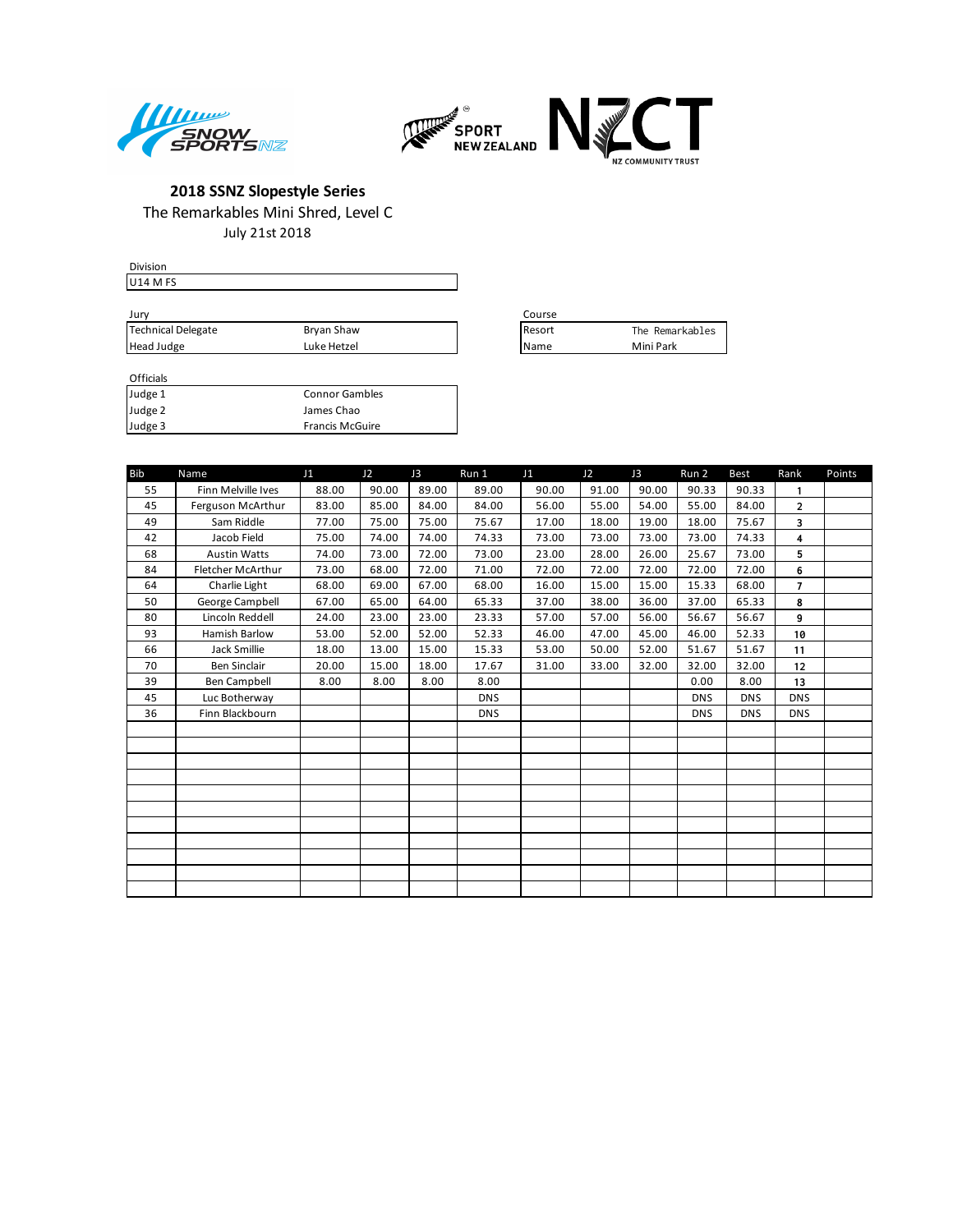



July 21st 2018

|             | Course          |                 |
|-------------|-----------------|-----------------|
| Bryan Shaw  | <b>I</b> Resort | The Remarkables |
| Luke Hetzel | <b>I</b> Name   | Mini Park       |
|             |                 |                 |

| Course         |                 |
|----------------|-----------------|
| <b>IResort</b> | The Remarkables |
| <b>IName</b>   | Mini Park       |

#### Officials<br>Judge 1 Connor Gambles **Judge 2** James Chao

Judge 3 Francis McGuire

| <b>Bib</b> | Name                 | J <sub>1</sub> | J2    | J3    | Run 1      | J <sub>1</sub> | J2    | J3    | Run 2      | <b>Best</b> | Rank                    | Points |
|------------|----------------------|----------------|-------|-------|------------|----------------|-------|-------|------------|-------------|-------------------------|--------|
| 55         | Finn Melville Ives   | 88.00          | 90.00 | 89.00 | 89.00      | 90.00          | 91.00 | 90.00 | 90.33      | 90.33       | $\mathbf{1}$            |        |
| 45         | Ferguson McArthur    | 83.00          | 85.00 | 84.00 | 84.00      | 56.00          | 55.00 | 54.00 | 55.00      | 84.00       | $\overline{2}$          |        |
| 49         | Sam Riddle           | 77.00          | 75.00 | 75.00 | 75.67      | 17.00          | 18.00 | 19.00 | 18.00      | 75.67       | 3                       |        |
| 42         | Jacob Field          | 75.00          | 74.00 | 74.00 | 74.33      | 73.00          | 73.00 | 73.00 | 73.00      | 74.33       | $\overline{\mathbf{4}}$ |        |
| 68         | <b>Austin Watts</b>  | 74.00          | 73.00 | 72.00 | 73.00      | 23.00          | 28.00 | 26.00 | 25.67      | 73.00       | 5                       |        |
| 84         | Fletcher McArthur    | 73.00          | 68.00 | 72.00 | 71.00      | 72.00          | 72.00 | 72.00 | 72.00      | 72.00       | 6                       |        |
| 64         | Charlie Light        | 68.00          | 69.00 | 67.00 | 68.00      | 16.00          | 15.00 | 15.00 | 15.33      | 68.00       | $\overline{7}$          |        |
| 50         | George Campbell      | 67.00          | 65.00 | 64.00 | 65.33      | 37.00          | 38.00 | 36.00 | 37.00      | 65.33       | 8                       |        |
| 80         | Lincoln Reddell      | 24.00          | 23.00 | 23.00 | 23.33      | 57.00          | 57.00 | 56.00 | 56.67      | 56.67       | 9                       |        |
| 93         | <b>Hamish Barlow</b> | 53.00          | 52.00 | 52.00 | 52.33      | 46.00          | 47.00 | 45.00 | 46.00      | 52.33       | 10                      |        |
| 66         | Jack Smillie         | 18.00          | 13.00 | 15.00 | 15.33      | 53.00          | 50.00 | 52.00 | 51.67      | 51.67       | 11                      |        |
| 70         | <b>Ben Sinclair</b>  | 20.00          | 15.00 | 18.00 | 17.67      | 31.00          | 33.00 | 32.00 | 32.00      | 32.00       | 12                      |        |
| 39         | Ben Campbell         | 8.00           | 8.00  | 8.00  | 8.00       |                |       |       | 0.00       | 8.00        | 13                      |        |
| 45         | Luc Botherway        |                |       |       | <b>DNS</b> |                |       |       | <b>DNS</b> | <b>DNS</b>  | <b>DNS</b>              |        |
| 36         | Finn Blackbourn      |                |       |       | <b>DNS</b> |                |       |       | <b>DNS</b> | <b>DNS</b>  | <b>DNS</b>              |        |
|            |                      |                |       |       |            |                |       |       |            |             |                         |        |
|            |                      |                |       |       |            |                |       |       |            |             |                         |        |
|            |                      |                |       |       |            |                |       |       |            |             |                         |        |
|            |                      |                |       |       |            |                |       |       |            |             |                         |        |
|            |                      |                |       |       |            |                |       |       |            |             |                         |        |
|            |                      |                |       |       |            |                |       |       |            |             |                         |        |
|            |                      |                |       |       |            |                |       |       |            |             |                         |        |
|            |                      |                |       |       |            |                |       |       |            |             |                         |        |
|            |                      |                |       |       |            |                |       |       |            |             |                         |        |
|            |                      |                |       |       |            |                |       |       |            |             |                         |        |
|            |                      |                |       |       |            |                |       |       |            |             |                         |        |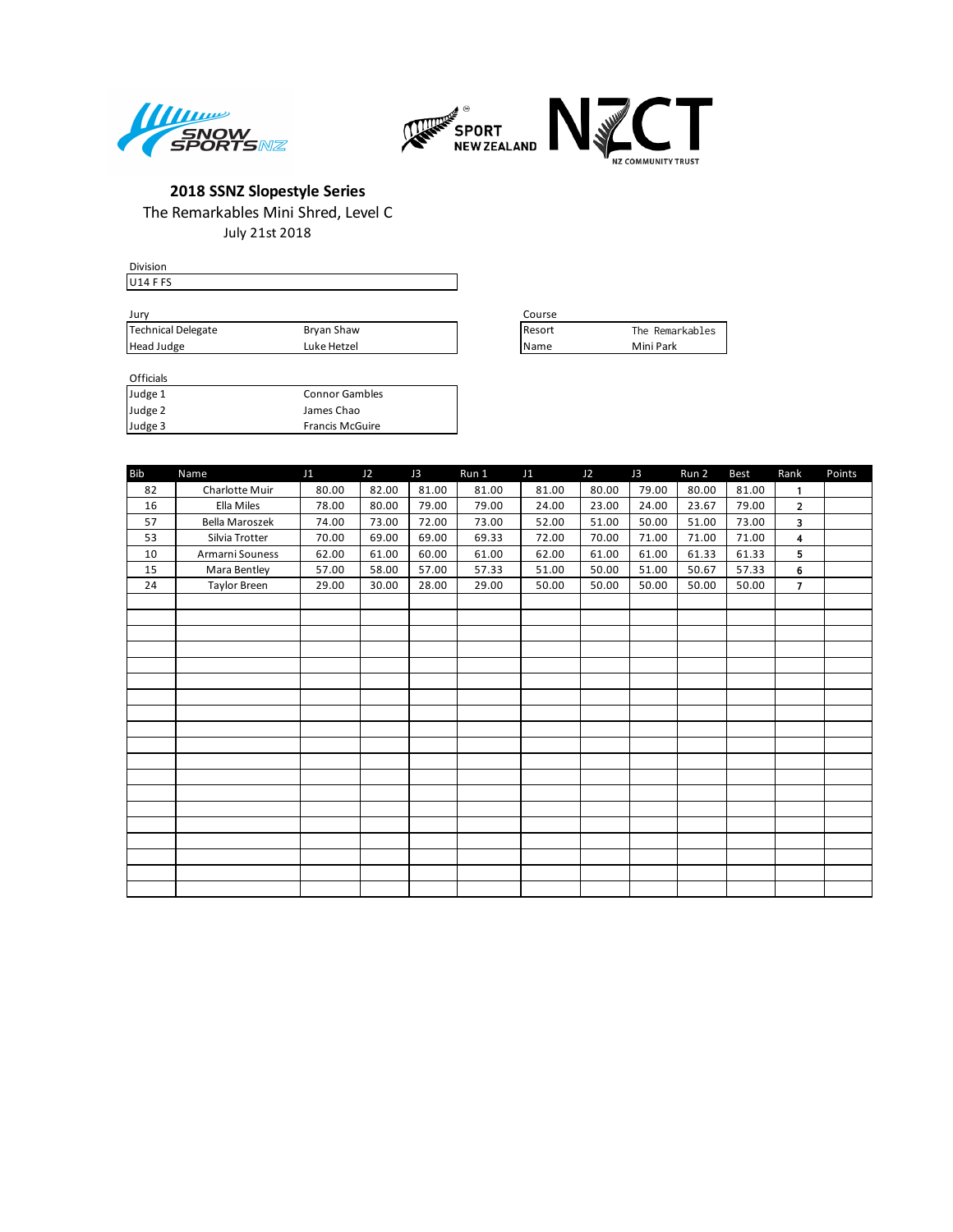



July 21st 2018

| <b>Division</b>                 |             |                 |                 |
|---------------------------------|-------------|-----------------|-----------------|
| U <sub>14</sub> F <sub>FS</sub> |             |                 |                 |
|                                 |             |                 |                 |
| Jury                            |             | Course          |                 |
| Technical Delegate              | Bryan Shaw  | <b>I</b> Resort | The Remarkables |
| Head Judge                      | Luke Hetzel | l Name          | Mini Park       |

| Course |                 |
|--------|-----------------|
| Resort | The Remarkables |
| Name   | Mini Park       |

### Officials<br>Judge 1 Connor Gambles

| Judge 2 | James Chao             |
|---------|------------------------|
| Judge 3 | <b>Francis McGuire</b> |

| <b>Bib</b> | Name                  | J1    | J2    | J3    | Run 1 | J1    | J2    | J3    | Run 2 | <b>Best</b> | Rank           | Points |
|------------|-----------------------|-------|-------|-------|-------|-------|-------|-------|-------|-------------|----------------|--------|
| 82         | Charlotte Muir        | 80.00 | 82.00 | 81.00 | 81.00 | 81.00 | 80.00 | 79.00 | 80.00 | 81.00       | $\mathbf{1}$   |        |
| 16         | Ella Miles            | 78.00 | 80.00 | 79.00 | 79.00 | 24.00 | 23.00 | 24.00 | 23.67 | 79.00       | $\overline{2}$ |        |
| 57         | <b>Bella Maroszek</b> | 74.00 | 73.00 | 72.00 | 73.00 | 52.00 | 51.00 | 50.00 | 51.00 | 73.00       | 3              |        |
| 53         | Silvia Trotter        | 70.00 | 69.00 | 69.00 | 69.33 | 72.00 | 70.00 | 71.00 | 71.00 | 71.00       | 4              |        |
| 10         | Armarni Souness       | 62.00 | 61.00 | 60.00 | 61.00 | 62.00 | 61.00 | 61.00 | 61.33 | 61.33       | 5              |        |
| 15         | Mara Bentley          | 57.00 | 58.00 | 57.00 | 57.33 | 51.00 | 50.00 | 51.00 | 50.67 | 57.33       | 6              |        |
| 24         | Taylor Breen          | 29.00 | 30.00 | 28.00 | 29.00 | 50.00 | 50.00 | 50.00 | 50.00 | 50.00       | $\overline{7}$ |        |
|            |                       |       |       |       |       |       |       |       |       |             |                |        |
|            |                       |       |       |       |       |       |       |       |       |             |                |        |
|            |                       |       |       |       |       |       |       |       |       |             |                |        |
|            |                       |       |       |       |       |       |       |       |       |             |                |        |
|            |                       |       |       |       |       |       |       |       |       |             |                |        |
|            |                       |       |       |       |       |       |       |       |       |             |                |        |
|            |                       |       |       |       |       |       |       |       |       |             |                |        |
|            |                       |       |       |       |       |       |       |       |       |             |                |        |
|            |                       |       |       |       |       |       |       |       |       |             |                |        |
|            |                       |       |       |       |       |       |       |       |       |             |                |        |
|            |                       |       |       |       |       |       |       |       |       |             |                |        |
|            |                       |       |       |       |       |       |       |       |       |             |                |        |
|            |                       |       |       |       |       |       |       |       |       |             |                |        |
|            |                       |       |       |       |       |       |       |       |       |             |                |        |
|            |                       |       |       |       |       |       |       |       |       |             |                |        |
|            |                       |       |       |       |       |       |       |       |       |             |                |        |
|            |                       |       |       |       |       |       |       |       |       |             |                |        |
|            |                       |       |       |       |       |       |       |       |       |             |                |        |
|            |                       |       |       |       |       |       |       |       |       |             |                |        |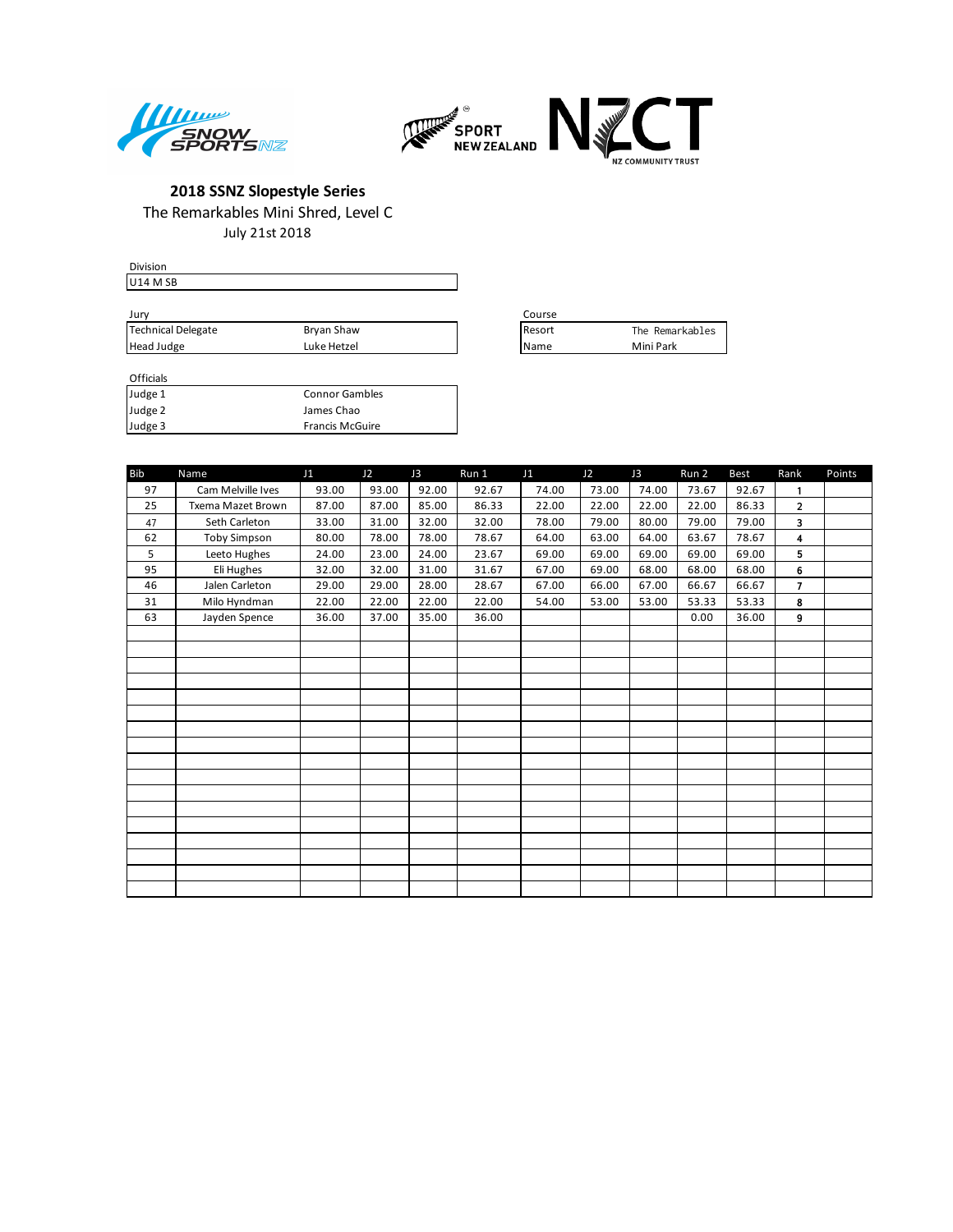



July 21st 2018

| Course          |                 |
|-----------------|-----------------|
| <b>I</b> Resort | The Remarkables |
| <b>IName</b>    | Mini Park       |
|                 |                 |

| Course |                 |
|--------|-----------------|
| Resort | The Remarkables |
| Name   | Mini Park       |

| ------- |                        |
|---------|------------------------|
| Judge 1 | <b>Connor Gambles</b>  |
| Judge 2 | James Chao             |
| Judge 3 | <b>Francis McGuire</b> |

| <b>Bib</b> | Name                | J1    | J2    | J3    | Run 1 | J1    | J2    | J3    | Run 2 | <b>Best</b> | Rank           | Points |
|------------|---------------------|-------|-------|-------|-------|-------|-------|-------|-------|-------------|----------------|--------|
| 97         | Cam Melville Ives   | 93.00 | 93.00 | 92.00 | 92.67 | 74.00 | 73.00 | 74.00 | 73.67 | 92.67       | $\mathbf{1}$   |        |
| 25         | Txema Mazet Brown   | 87.00 | 87.00 | 85.00 | 86.33 | 22.00 | 22.00 | 22.00 | 22.00 | 86.33       | $\overline{2}$ |        |
| 47         | Seth Carleton       | 33.00 | 31.00 | 32.00 | 32.00 | 78.00 | 79.00 | 80.00 | 79.00 | 79.00       | 3              |        |
| 62         | <b>Toby Simpson</b> | 80.00 | 78.00 | 78.00 | 78.67 | 64.00 | 63.00 | 64.00 | 63.67 | 78.67       | 4              |        |
| 5          | Leeto Hughes        | 24.00 | 23.00 | 24.00 | 23.67 | 69.00 | 69.00 | 69.00 | 69.00 | 69.00       | 5              |        |
| 95         | Eli Hughes          | 32.00 | 32.00 | 31.00 | 31.67 | 67.00 | 69.00 | 68.00 | 68.00 | 68.00       | 6              |        |
| 46         | Jalen Carleton      | 29.00 | 29.00 | 28.00 | 28.67 | 67.00 | 66.00 | 67.00 | 66.67 | 66.67       | $\overline{7}$ |        |
| 31         | Milo Hyndman        | 22.00 | 22.00 | 22.00 | 22.00 | 54.00 | 53.00 | 53.00 | 53.33 | 53.33       | 8              |        |
| 63         | Jayden Spence       | 36.00 | 37.00 | 35.00 | 36.00 |       |       |       | 0.00  | 36.00       | 9              |        |
|            |                     |       |       |       |       |       |       |       |       |             |                |        |
|            |                     |       |       |       |       |       |       |       |       |             |                |        |
|            |                     |       |       |       |       |       |       |       |       |             |                |        |
|            |                     |       |       |       |       |       |       |       |       |             |                |        |
|            |                     |       |       |       |       |       |       |       |       |             |                |        |
|            |                     |       |       |       |       |       |       |       |       |             |                |        |
|            |                     |       |       |       |       |       |       |       |       |             |                |        |
|            |                     |       |       |       |       |       |       |       |       |             |                |        |
|            |                     |       |       |       |       |       |       |       |       |             |                |        |
|            |                     |       |       |       |       |       |       |       |       |             |                |        |
|            |                     |       |       |       |       |       |       |       |       |             |                |        |
|            |                     |       |       |       |       |       |       |       |       |             |                |        |
|            |                     |       |       |       |       |       |       |       |       |             |                |        |
|            |                     |       |       |       |       |       |       |       |       |             |                |        |
|            |                     |       |       |       |       |       |       |       |       |             |                |        |
|            |                     |       |       |       |       |       |       |       |       |             |                |        |
|            |                     |       |       |       |       |       |       |       |       |             |                |        |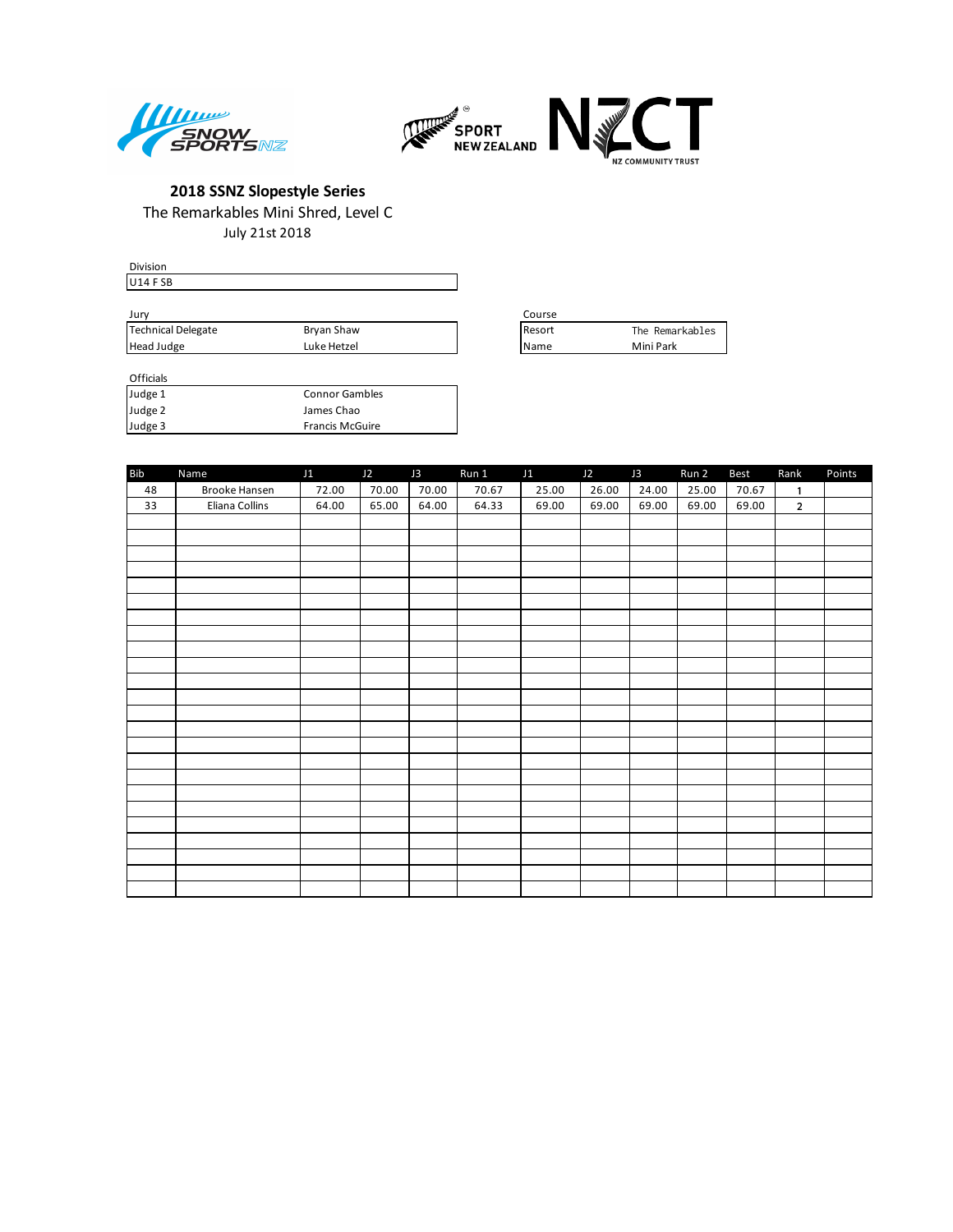



July 21st 2018

| Division           |             |                 |                 |
|--------------------|-------------|-----------------|-----------------|
| $ U14$ FSB         |             |                 |                 |
|                    |             |                 |                 |
| Jury               |             | Course          |                 |
| Technical Delegate | Bryan Shaw  | <b>I</b> Resort | The Remarkables |
| Head Judge         | Luke Hetzel | <b>I</b> Name   | Mini Park       |

| Course |                 |
|--------|-----------------|
| Resort | The Remarkables |
| Name   | Mini Park       |

| Bib | Name           | J1    | J2    | J3    | Run 1 | J1    | J2    | J3    | Run 2 | <b>Best</b> | Rank           | Points |
|-----|----------------|-------|-------|-------|-------|-------|-------|-------|-------|-------------|----------------|--------|
| 48  | Brooke Hansen  | 72.00 | 70.00 | 70.00 | 70.67 | 25.00 | 26.00 | 24.00 | 25.00 | 70.67       | $\mathbf{1}$   |        |
| 33  | Eliana Collins | 64.00 | 65.00 | 64.00 | 64.33 | 69.00 | 69.00 | 69.00 | 69.00 | 69.00       | $\overline{2}$ |        |
|     |                |       |       |       |       |       |       |       |       |             |                |        |
|     |                |       |       |       |       |       |       |       |       |             |                |        |
|     |                |       |       |       |       |       |       |       |       |             |                |        |
|     |                |       |       |       |       |       |       |       |       |             |                |        |
|     |                |       |       |       |       |       |       |       |       |             |                |        |
|     |                |       |       |       |       |       |       |       |       |             |                |        |
|     |                |       |       |       |       |       |       |       |       |             |                |        |
|     |                |       |       |       |       |       |       |       |       |             |                |        |
|     |                |       |       |       |       |       |       |       |       |             |                |        |
|     |                |       |       |       |       |       |       |       |       |             |                |        |
|     |                |       |       |       |       |       |       |       |       |             |                |        |
|     |                |       |       |       |       |       |       |       |       |             |                |        |
|     |                |       |       |       |       |       |       |       |       |             |                |        |
|     |                |       |       |       |       |       |       |       |       |             |                |        |
|     |                |       |       |       |       |       |       |       |       |             |                |        |
|     |                |       |       |       |       |       |       |       |       |             |                |        |
|     |                |       |       |       |       |       |       |       |       |             |                |        |
|     |                |       |       |       |       |       |       |       |       |             |                |        |
|     |                |       |       |       |       |       |       |       |       |             |                |        |
|     |                |       |       |       |       |       |       |       |       |             |                |        |
|     |                |       |       |       |       |       |       |       |       |             |                |        |
|     |                |       |       |       |       |       |       |       |       |             |                |        |
|     |                |       |       |       |       |       |       |       |       |             |                |        |
|     |                |       |       |       |       |       |       |       |       |             |                |        |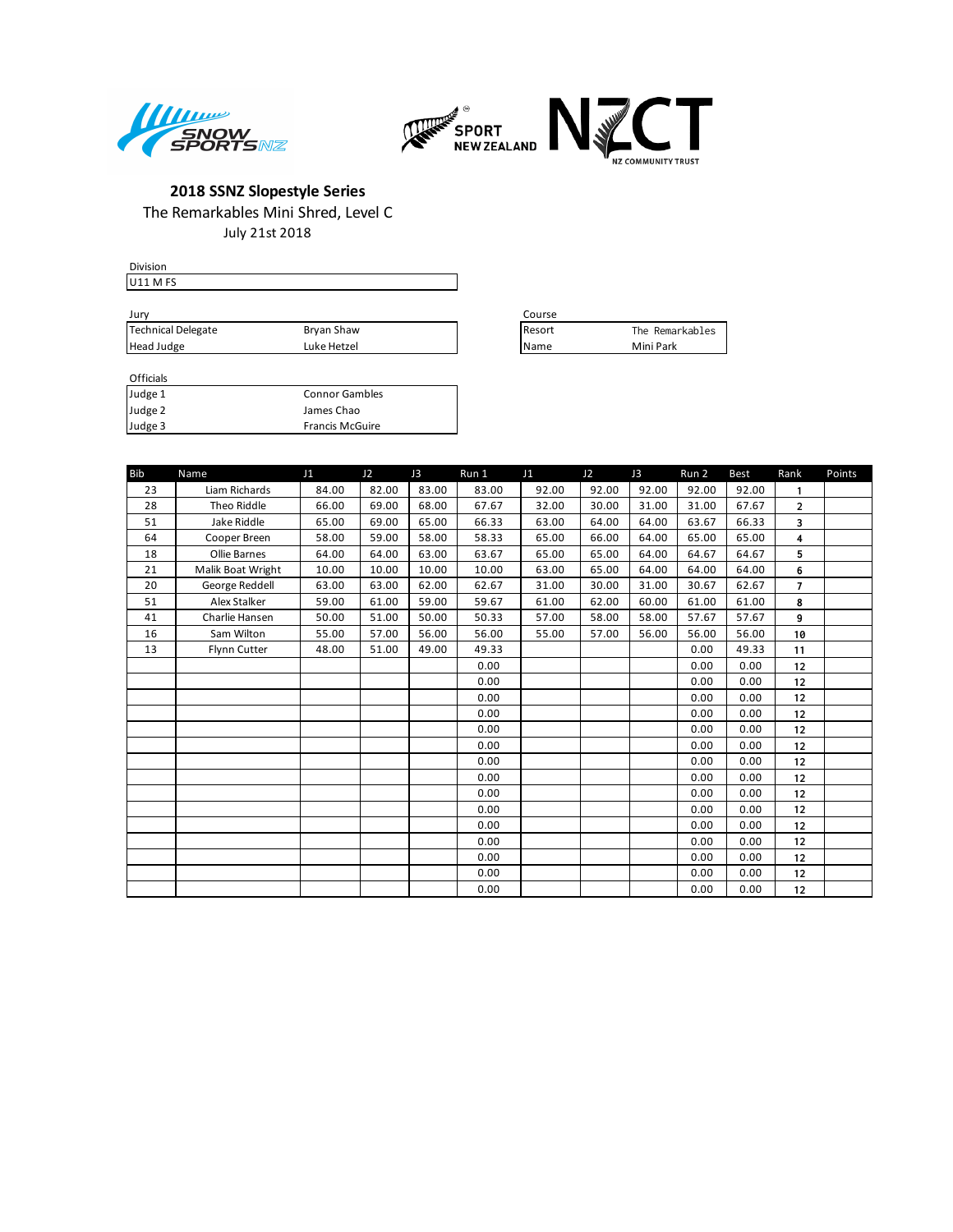



July 21st 2018

| <b>Division</b>    |             |                 |                 |
|--------------------|-------------|-----------------|-----------------|
| <b>U11 MFS</b>     |             |                 |                 |
|                    |             |                 |                 |
| Jurv               |             | Course          |                 |
| Technical Delegate | Bryan Shaw  | <b>I</b> Resort | The Remarkables |
| Head Judge         | Luke Hetzel | <b>IName</b>    | Mini Park       |

| Course |                 |
|--------|-----------------|
| Resort | The Remarkables |
| Name   | Mini Park       |

| <b>UILLIGIS</b> |                        |
|-----------------|------------------------|
| Judge 1         | <b>Connor Gambles</b>  |
| Judge 2         | James Chao             |
| Judge 3         | <b>Francis McGuire</b> |

| <b>Bib</b> | Name              | J1    | J2    | J3    | Run 1 | J1    | J2    | J3    | Run 2 | <b>Best</b> | Rank           | Points |
|------------|-------------------|-------|-------|-------|-------|-------|-------|-------|-------|-------------|----------------|--------|
| 23         | Liam Richards     | 84.00 | 82.00 | 83.00 | 83.00 | 92.00 | 92.00 | 92.00 | 92.00 | 92.00       | 1              |        |
| 28         | Theo Riddle       | 66.00 | 69.00 | 68.00 | 67.67 | 32.00 | 30.00 | 31.00 | 31.00 | 67.67       | $\overline{2}$ |        |
| 51         | Jake Riddle       | 65.00 | 69.00 | 65.00 | 66.33 | 63.00 | 64.00 | 64.00 | 63.67 | 66.33       | 3              |        |
| 64         | Cooper Breen      | 58.00 | 59.00 | 58.00 | 58.33 | 65.00 | 66.00 | 64.00 | 65.00 | 65.00       | 4              |        |
| 18         | Ollie Barnes      | 64.00 | 64.00 | 63.00 | 63.67 | 65.00 | 65.00 | 64.00 | 64.67 | 64.67       | 5              |        |
| 21         | Malik Boat Wright | 10.00 | 10.00 | 10.00 | 10.00 | 63.00 | 65.00 | 64.00 | 64.00 | 64.00       | 6              |        |
| 20         | George Reddell    | 63.00 | 63.00 | 62.00 | 62.67 | 31.00 | 30.00 | 31.00 | 30.67 | 62.67       | $\overline{7}$ |        |
| 51         | Alex Stalker      | 59.00 | 61.00 | 59.00 | 59.67 | 61.00 | 62.00 | 60.00 | 61.00 | 61.00       | 8              |        |
| 41         | Charlie Hansen    | 50.00 | 51.00 | 50.00 | 50.33 | 57.00 | 58.00 | 58.00 | 57.67 | 57.67       | 9              |        |
| 16         | Sam Wilton        | 55.00 | 57.00 | 56.00 | 56.00 | 55.00 | 57.00 | 56.00 | 56.00 | 56.00       | 10             |        |
| 13         | Flynn Cutter      | 48.00 | 51.00 | 49.00 | 49.33 |       |       |       | 0.00  | 49.33       | 11             |        |
|            |                   |       |       |       | 0.00  |       |       |       | 0.00  | 0.00        | 12             |        |
|            |                   |       |       |       | 0.00  |       |       |       | 0.00  | 0.00        | 12             |        |
|            |                   |       |       |       | 0.00  |       |       |       | 0.00  | 0.00        | 12             |        |
|            |                   |       |       |       | 0.00  |       |       |       | 0.00  | 0.00        | 12             |        |
|            |                   |       |       |       | 0.00  |       |       |       | 0.00  | 0.00        | 12             |        |
|            |                   |       |       |       | 0.00  |       |       |       | 0.00  | 0.00        | 12             |        |
|            |                   |       |       |       | 0.00  |       |       |       | 0.00  | 0.00        | 12             |        |
|            |                   |       |       |       | 0.00  |       |       |       | 0.00  | 0.00        | 12             |        |
|            |                   |       |       |       | 0.00  |       |       |       | 0.00  | 0.00        | 12             |        |
|            |                   |       |       |       | 0.00  |       |       |       | 0.00  | 0.00        | 12             |        |
|            |                   |       |       |       | 0.00  |       |       |       | 0.00  | 0.00        | 12             |        |
|            |                   |       |       |       | 0.00  |       |       |       | 0.00  | 0.00        | 12             |        |
|            |                   |       |       |       | 0.00  |       |       |       | 0.00  | 0.00        | 12             |        |
|            |                   |       |       |       | 0.00  |       |       |       | 0.00  | 0.00        | 12             |        |
|            |                   |       |       |       | 0.00  |       |       |       | 0.00  | 0.00        | 12             |        |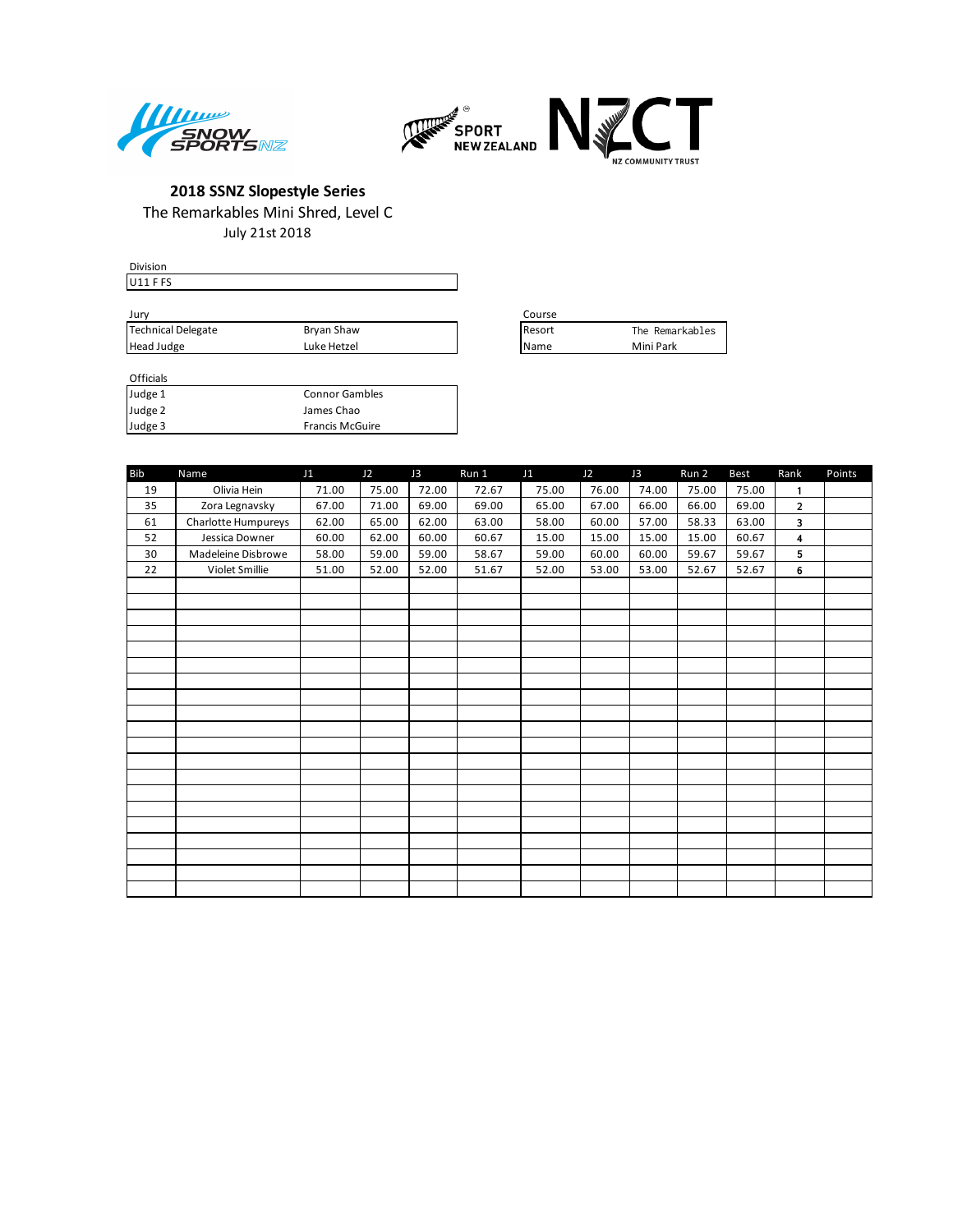



July 21st 2018

| <b>Division</b>    |             |                 |                 |
|--------------------|-------------|-----------------|-----------------|
| $ U11$ F FS        |             |                 |                 |
|                    |             |                 |                 |
| Jury               |             | Course          |                 |
| Technical Delegate | Bryan Shaw  | <b>I</b> Resort | The Remarkables |
| Head Judge         | Luke Hetzel | <b>IName</b>    | Mini Park       |

| Course         |                 |
|----------------|-----------------|
| <b>IResort</b> | The Remarkables |
| Name           | Mini Park       |

| Judge 1 | <b>Connor Gambles</b>  |
|---------|------------------------|
| Judge 2 | James Chao             |
| Judge 3 | <b>Francis McGuire</b> |

| <b>Bib</b> | Name                | J1    | J2    | J3    | Run 1 | J1    | J2    | J3    | Run 2 | Best  | Rank           | Points |
|------------|---------------------|-------|-------|-------|-------|-------|-------|-------|-------|-------|----------------|--------|
| 19         | Olivia Hein         | 71.00 | 75.00 | 72.00 | 72.67 | 75.00 | 76.00 | 74.00 | 75.00 | 75.00 | $\mathbf{1}$   |        |
| 35         | Zora Legnavsky      | 67.00 | 71.00 | 69.00 | 69.00 | 65.00 | 67.00 | 66.00 | 66.00 | 69.00 | $\overline{2}$ |        |
| 61         | Charlotte Humpureys | 62.00 | 65.00 | 62.00 | 63.00 | 58.00 | 60.00 | 57.00 | 58.33 | 63.00 | 3              |        |
| 52         | Jessica Downer      | 60.00 | 62.00 | 60.00 | 60.67 | 15.00 | 15.00 | 15.00 | 15.00 | 60.67 | 4              |        |
| 30         | Madeleine Disbrowe  | 58.00 | 59.00 | 59.00 | 58.67 | 59.00 | 60.00 | 60.00 | 59.67 | 59.67 | 5              |        |
| 22         | Violet Smillie      | 51.00 | 52.00 | 52.00 | 51.67 | 52.00 | 53.00 | 53.00 | 52.67 | 52.67 | 6              |        |
|            |                     |       |       |       |       |       |       |       |       |       |                |        |
|            |                     |       |       |       |       |       |       |       |       |       |                |        |
|            |                     |       |       |       |       |       |       |       |       |       |                |        |
|            |                     |       |       |       |       |       |       |       |       |       |                |        |
|            |                     |       |       |       |       |       |       |       |       |       |                |        |
|            |                     |       |       |       |       |       |       |       |       |       |                |        |
|            |                     |       |       |       |       |       |       |       |       |       |                |        |
|            |                     |       |       |       |       |       |       |       |       |       |                |        |
|            |                     |       |       |       |       |       |       |       |       |       |                |        |
|            |                     |       |       |       |       |       |       |       |       |       |                |        |
|            |                     |       |       |       |       |       |       |       |       |       |                |        |
|            |                     |       |       |       |       |       |       |       |       |       |                |        |
|            |                     |       |       |       |       |       |       |       |       |       |                |        |
|            |                     |       |       |       |       |       |       |       |       |       |                |        |
|            |                     |       |       |       |       |       |       |       |       |       |                |        |
|            |                     |       |       |       |       |       |       |       |       |       |                |        |
|            |                     |       |       |       |       |       |       |       |       |       |                |        |
|            |                     |       |       |       |       |       |       |       |       |       |                |        |
|            |                     |       |       |       |       |       |       |       |       |       |                |        |
|            |                     |       |       |       |       |       |       |       |       |       |                |        |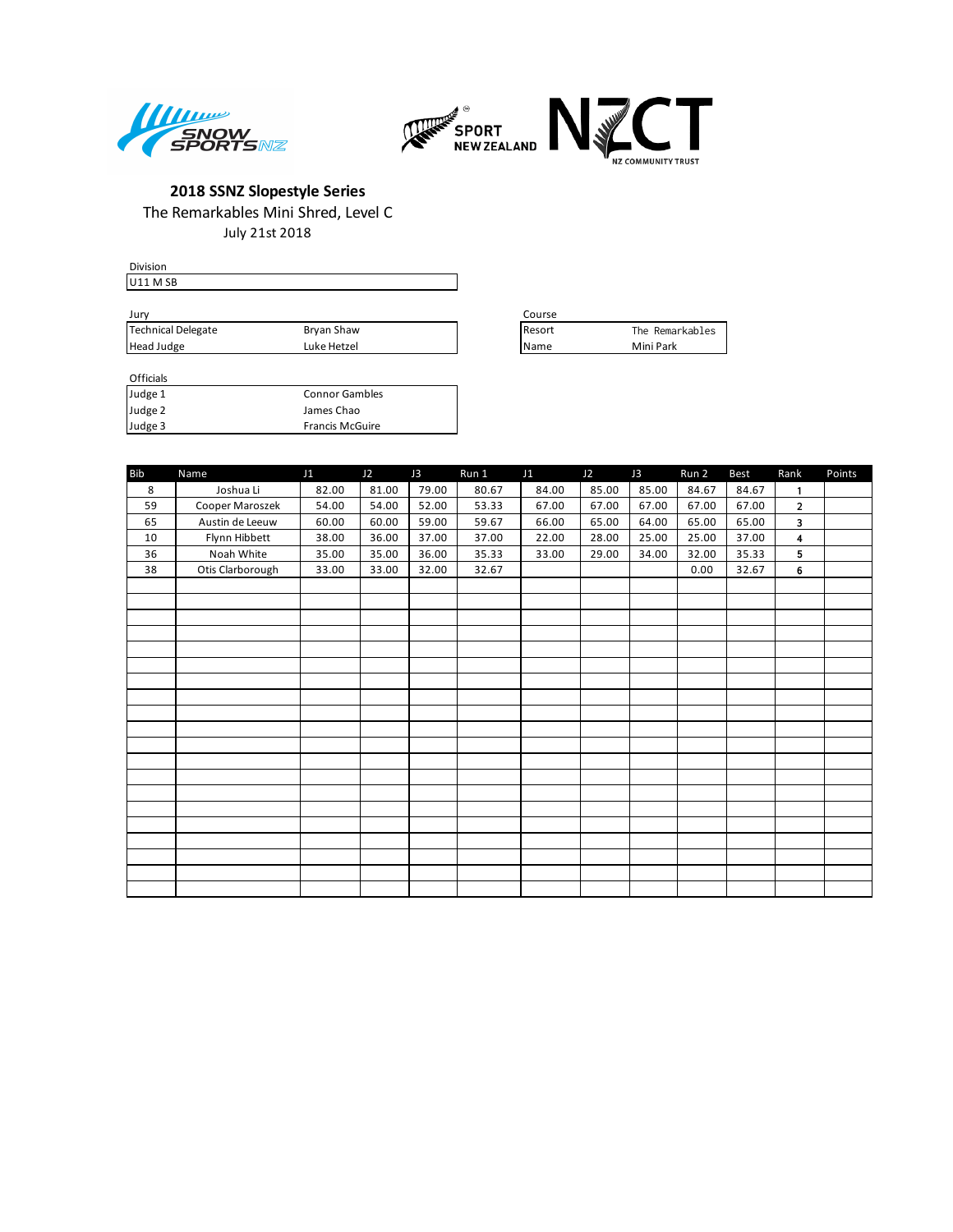



July 21st 2018

| Division           |             |               |                 |
|--------------------|-------------|---------------|-----------------|
| $I$ U11 M SB       |             |               |                 |
|                    |             |               |                 |
| Jury               |             | Course        |                 |
| Technical Delegate | Bryan Shaw  | <b>Resort</b> | The Remarkables |
| Head Judge         | Luke Hetzel | l Name        | Mini Park       |

| Course |                 |
|--------|-----------------|
| Resort | The Remarkables |
| Name   | Mini Park       |

| Judge 1 | <b>Connor Gambles</b>  |
|---------|------------------------|
| Judge 2 | James Chao             |
| Judge 3 | <b>Francis McGuire</b> |

| <b>Bib</b> | Name             | J1    | J2    | J3    | Run 1 | J1    | J2    | J3    | Run 2 | <b>Best</b> | Rank                    | Points |
|------------|------------------|-------|-------|-------|-------|-------|-------|-------|-------|-------------|-------------------------|--------|
| 8          | Joshua Li        | 82.00 | 81.00 | 79.00 | 80.67 | 84.00 | 85.00 | 85.00 | 84.67 | 84.67       | $\mathbf{1}$            |        |
| 59         | Cooper Maroszek  | 54.00 | 54.00 | 52.00 | 53.33 | 67.00 | 67.00 | 67.00 | 67.00 | 67.00       | $\overline{2}$          |        |
| 65         | Austin de Leeuw  | 60.00 | 60.00 | 59.00 | 59.67 | 66.00 | 65.00 | 64.00 | 65.00 | 65.00       | 3                       |        |
| 10         | Flynn Hibbett    | 38.00 | 36.00 | 37.00 | 37.00 | 22.00 | 28.00 | 25.00 | 25.00 | 37.00       | $\overline{\mathbf{4}}$ |        |
| 36         | Noah White       | 35.00 | 35.00 | 36.00 | 35.33 | 33.00 | 29.00 | 34.00 | 32.00 | 35.33       | 5                       |        |
| 38         | Otis Clarborough | 33.00 | 33.00 | 32.00 | 32.67 |       |       |       | 0.00  | 32.67       | 6                       |        |
|            |                  |       |       |       |       |       |       |       |       |             |                         |        |
|            |                  |       |       |       |       |       |       |       |       |             |                         |        |
|            |                  |       |       |       |       |       |       |       |       |             |                         |        |
|            |                  |       |       |       |       |       |       |       |       |             |                         |        |
|            |                  |       |       |       |       |       |       |       |       |             |                         |        |
|            |                  |       |       |       |       |       |       |       |       |             |                         |        |
|            |                  |       |       |       |       |       |       |       |       |             |                         |        |
|            |                  |       |       |       |       |       |       |       |       |             |                         |        |
|            |                  |       |       |       |       |       |       |       |       |             |                         |        |
|            |                  |       |       |       |       |       |       |       |       |             |                         |        |
|            |                  |       |       |       |       |       |       |       |       |             |                         |        |
|            |                  |       |       |       |       |       |       |       |       |             |                         |        |
|            |                  |       |       |       |       |       |       |       |       |             |                         |        |
|            |                  |       |       |       |       |       |       |       |       |             |                         |        |
|            |                  |       |       |       |       |       |       |       |       |             |                         |        |
|            |                  |       |       |       |       |       |       |       |       |             |                         |        |
|            |                  |       |       |       |       |       |       |       |       |             |                         |        |
|            |                  |       |       |       |       |       |       |       |       |             |                         |        |
|            |                  |       |       |       |       |       |       |       |       |             |                         |        |
|            |                  |       |       |       |       |       |       |       |       |             |                         |        |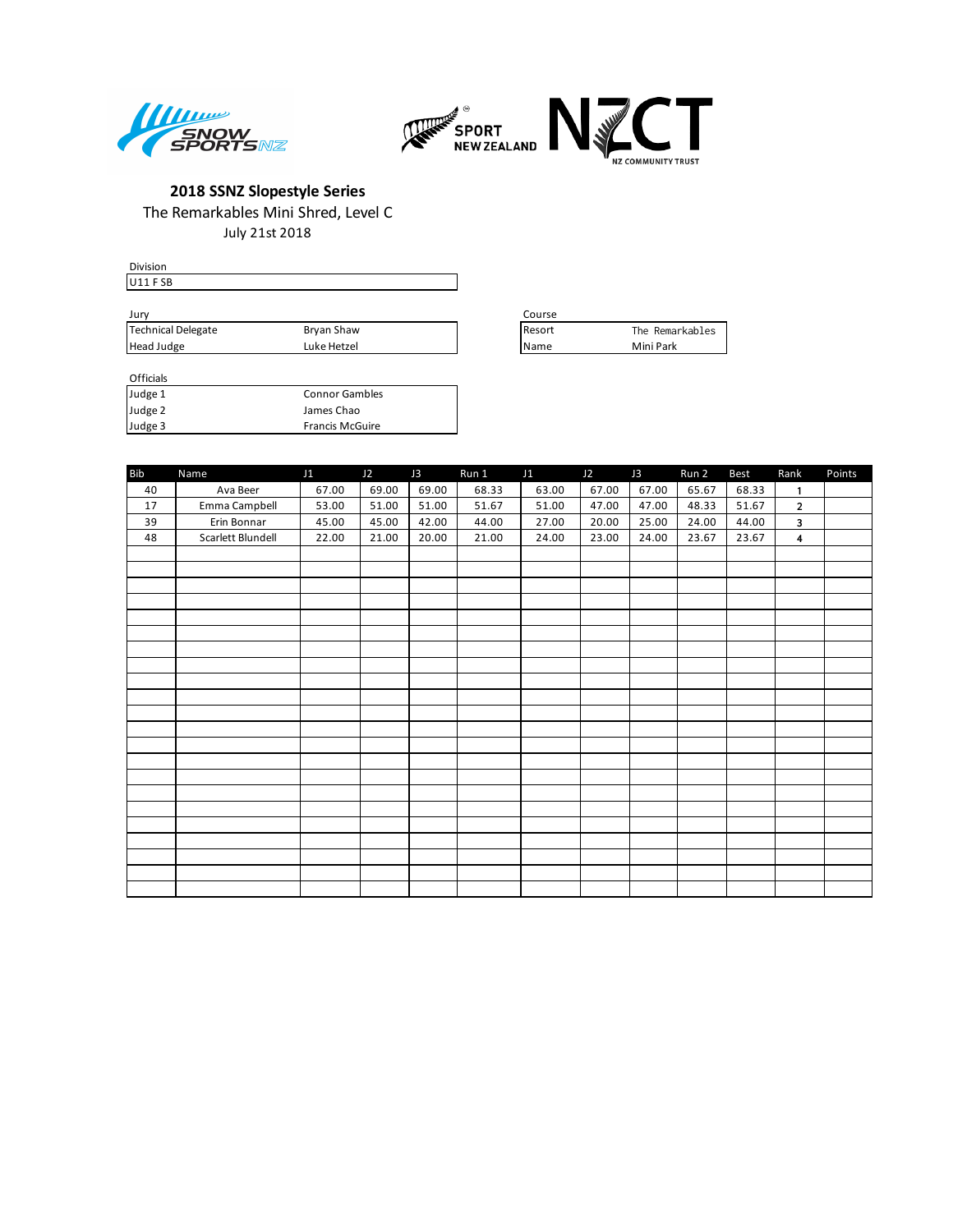



July 21st 2018

| Division           |             |                 |                 |
|--------------------|-------------|-----------------|-----------------|
| $ U11$ FSB         |             |                 |                 |
|                    |             |                 |                 |
| Jury               |             | Course          |                 |
| Technical Delegate | Bryan Shaw  | <b>I</b> Resort | The Remarkables |
| Head Judge         | Luke Hetzel | <b>I</b> Name   | Mini Park       |

| Course |                 |
|--------|-----------------|
| Resort | The Remarkables |
| Name   | Mini Park       |

| Bib | Name              | J1    | J2    | J3    | Run 1 | J1    | J2    | J3    | Run 2 | <b>Best</b> | Rank                    | Points |
|-----|-------------------|-------|-------|-------|-------|-------|-------|-------|-------|-------------|-------------------------|--------|
| 40  | Ava Beer          | 67.00 | 69.00 | 69.00 | 68.33 | 63.00 | 67.00 | 67.00 | 65.67 | 68.33       | $\mathbf{1}$            |        |
| 17  | Emma Campbell     | 53.00 | 51.00 | 51.00 | 51.67 | 51.00 | 47.00 | 47.00 | 48.33 | 51.67       | $\overline{2}$          |        |
| 39  | Erin Bonnar       | 45.00 | 45.00 | 42.00 | 44.00 | 27.00 | 20.00 | 25.00 | 24.00 | 44.00       | 3                       |        |
| 48  | Scarlett Blundell | 22.00 | 21.00 | 20.00 | 21.00 | 24.00 | 23.00 | 24.00 | 23.67 | 23.67       | $\overline{\mathbf{4}}$ |        |
|     |                   |       |       |       |       |       |       |       |       |             |                         |        |
|     |                   |       |       |       |       |       |       |       |       |             |                         |        |
|     |                   |       |       |       |       |       |       |       |       |             |                         |        |
|     |                   |       |       |       |       |       |       |       |       |             |                         |        |
|     |                   |       |       |       |       |       |       |       |       |             |                         |        |
|     |                   |       |       |       |       |       |       |       |       |             |                         |        |
|     |                   |       |       |       |       |       |       |       |       |             |                         |        |
|     |                   |       |       |       |       |       |       |       |       |             |                         |        |
|     |                   |       |       |       |       |       |       |       |       |             |                         |        |
|     |                   |       |       |       |       |       |       |       |       |             |                         |        |
|     |                   |       |       |       |       |       |       |       |       |             |                         |        |
|     |                   |       |       |       |       |       |       |       |       |             |                         |        |
|     |                   |       |       |       |       |       |       |       |       |             |                         |        |
|     |                   |       |       |       |       |       |       |       |       |             |                         |        |
|     |                   |       |       |       |       |       |       |       |       |             |                         |        |
|     |                   |       |       |       |       |       |       |       |       |             |                         |        |
|     |                   |       |       |       |       |       |       |       |       |             |                         |        |
|     |                   |       |       |       |       |       |       |       |       |             |                         |        |
|     |                   |       |       |       |       |       |       |       |       |             |                         |        |
|     |                   |       |       |       |       |       |       |       |       |             |                         |        |
|     |                   |       |       |       |       |       |       |       |       |             |                         |        |
|     |                   |       |       |       |       |       |       |       |       |             |                         |        |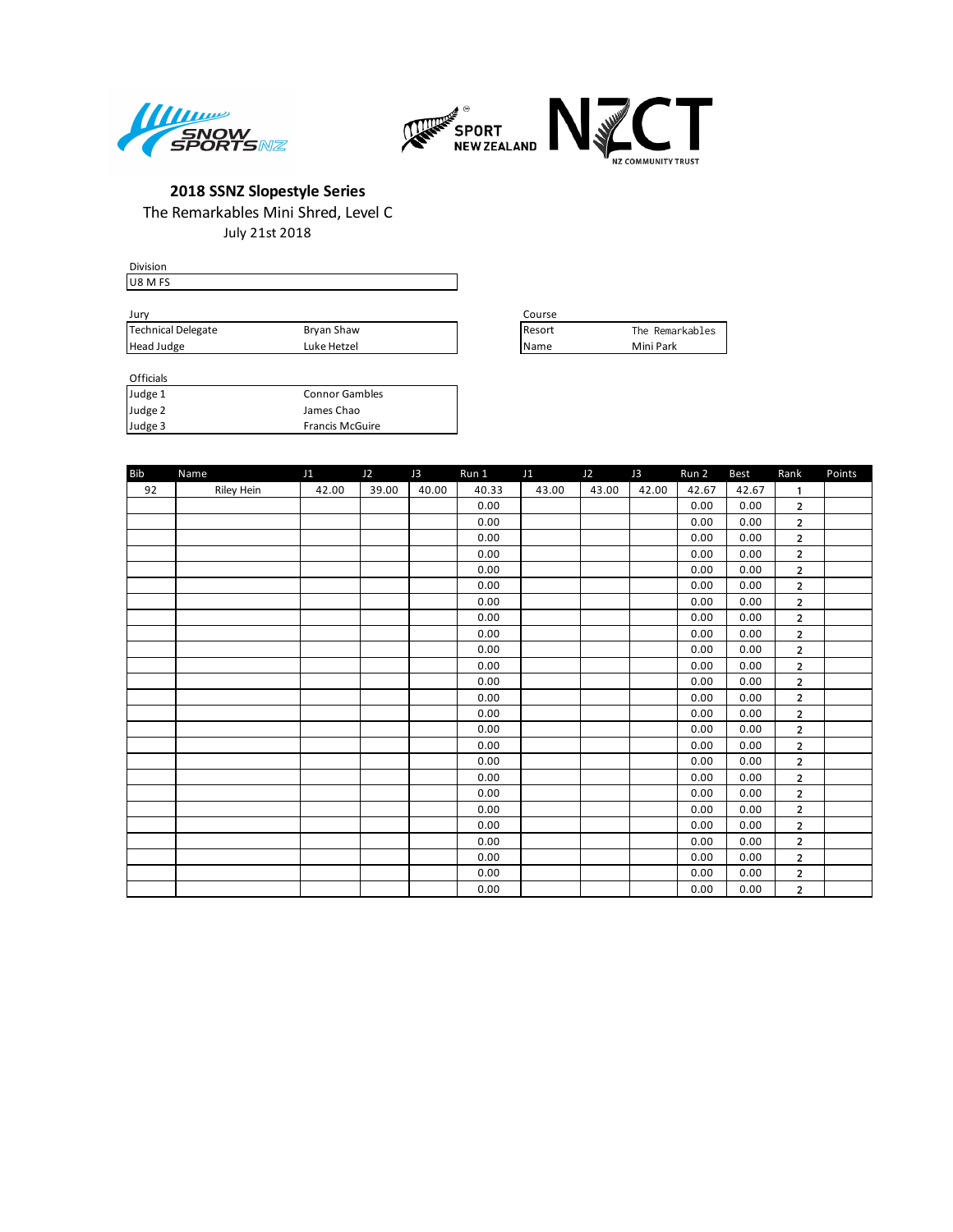



July 21st 2018

| <b>Division</b>    |             |                 |                 |
|--------------------|-------------|-----------------|-----------------|
| <b>U8 M FS</b>     |             |                 |                 |
|                    |             |                 |                 |
| Jury               |             | Course          |                 |
| Technical Delegate | Bryan Shaw  | <b>I</b> Resort | The Remarkables |
| Head Judge         | Luke Hetzel | <b>IName</b>    | Mini Park       |

| Course |                 |
|--------|-----------------|
| Resort | The Remarkables |
| Name   | Mini Park       |

| <b>Bib</b> | Name       | J1    | J2    | J3    | Run 1 | J1    | J2    | J3    | Run 2 | <b>Best</b> | Rank                    | Points |
|------------|------------|-------|-------|-------|-------|-------|-------|-------|-------|-------------|-------------------------|--------|
| 92         | Riley Hein | 42.00 | 39.00 | 40.00 | 40.33 | 43.00 | 43.00 | 42.00 | 42.67 | 42.67       | 1                       |        |
|            |            |       |       |       | 0.00  |       |       |       | 0.00  | 0.00        | $\overline{2}$          |        |
|            |            |       |       |       | 0.00  |       |       |       | 0.00  | 0.00        | $\overline{2}$          |        |
|            |            |       |       |       | 0.00  |       |       |       | 0.00  | 0.00        | $\overline{2}$          |        |
|            |            |       |       |       | 0.00  |       |       |       | 0.00  | 0.00        | $\overline{2}$          |        |
|            |            |       |       |       | 0.00  |       |       |       | 0.00  | 0.00        | $\overline{\mathbf{c}}$ |        |
|            |            |       |       |       | 0.00  |       |       |       | 0.00  | 0.00        | $\overline{2}$          |        |
|            |            |       |       |       | 0.00  |       |       |       | 0.00  | 0.00        | $\overline{2}$          |        |
|            |            |       |       |       | 0.00  |       |       |       | 0.00  | 0.00        | $\overline{2}$          |        |
|            |            |       |       |       | 0.00  |       |       |       | 0.00  | 0.00        | $\overline{2}$          |        |
|            |            |       |       |       | 0.00  |       |       |       | 0.00  | 0.00        | $\overline{\mathbf{c}}$ |        |
|            |            |       |       |       | 0.00  |       |       |       | 0.00  | 0.00        | $\overline{2}$          |        |
|            |            |       |       |       | 0.00  |       |       |       | 0.00  | 0.00        | $\overline{2}$          |        |
|            |            |       |       |       | 0.00  |       |       |       | 0.00  | 0.00        | $\overline{2}$          |        |
|            |            |       |       |       | 0.00  |       |       |       | 0.00  | 0.00        | $\overline{2}$          |        |
|            |            |       |       |       | 0.00  |       |       |       | 0.00  | 0.00        | $\overline{2}$          |        |
|            |            |       |       |       | 0.00  |       |       |       | 0.00  | 0.00        | $\overline{2}$          |        |
|            |            |       |       |       | 0.00  |       |       |       | 0.00  | 0.00        | $\overline{2}$          |        |
|            |            |       |       |       | 0.00  |       |       |       | 0.00  | 0.00        | $\overline{\mathbf{c}}$ |        |
|            |            |       |       |       | 0.00  |       |       |       | 0.00  | 0.00        | $\overline{\mathbf{c}}$ |        |
|            |            |       |       |       | 0.00  |       |       |       | 0.00  | 0.00        | $\overline{2}$          |        |
|            |            |       |       |       | 0.00  |       |       |       | 0.00  | 0.00        | $\overline{2}$          |        |
|            |            |       |       |       | 0.00  |       |       |       | 0.00  | 0.00        | $\overline{2}$          |        |
|            |            |       |       |       | 0.00  |       |       |       | 0.00  | 0.00        | $\overline{\mathbf{c}}$ |        |
|            |            |       |       |       | 0.00  |       |       |       | 0.00  | 0.00        | $\overline{\mathbf{2}}$ |        |
|            |            |       |       |       | 0.00  |       |       |       | 0.00  | 0.00        | $\overline{2}$          |        |